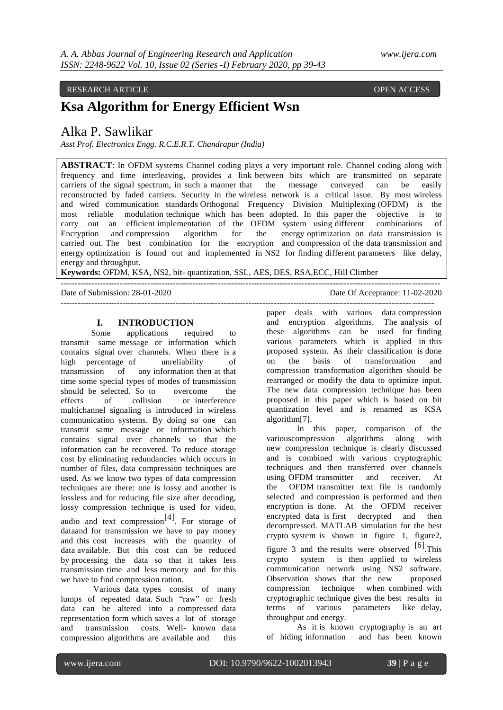### RESEARCH ARTICLE **CONSERVERS** OPEN ACCESS **OPEN ACCESS**

## **Ksa Algorithm for Energy Efficient Wsn**

## Alka P. Sawlikar

*Asst Prof. Electronics Engg. R.C.E.R.T. Chandrapur (India)*

**ABSTRACT**: In OFDM systems Channel coding plays a very important role. Channel coding along with frequency and time interleaving, provides a link between bits which are transmitted on separate carriers of the signal spectrum, in such a manner that the message conveyed can be easily reconstructed by faded carriers. Security in the wireless network is a critical issue. By most wireless and wired communication standards Orthogonal Frequency Division Multiplexing (OFDM) is the most reliable modulation technique which has been adopted. In this paper the objective is to carry out an efficient implementation of the OFDM system using different combinations of Encryption and compression algorithm for the energy optimization on data transmission is carried out. The best combination for the encryption and compression of the data transmission and energy optimization is found out and implemented in NS2 for finding different parameters like delay, energy and throughput.

---------------------------------------------------------------------------------------------------------------------------------------

**Keywords:** OFDM, KSA, NS2, bit- quantization, SSL, AES, DES, RSA,ECC, Hill Climber

Date of Submission: 28-01-2020 Date Of Acceptance: 11-02-2020

# -------------------------------------------------------------------------------------------------------------------------------------

## **I. INTRODUCTION**

Some applications required to transmit same message or information which contains signal over channels. When there is a high percentage of unreliability of transmission of any information then at that time some special types of modes of transmission should be selected. So to overcome the effects of collision or interference multichannel signaling is introduced in wireless communication systems. By doing so one can transmit same message or information which contains signal over channels so that the information can be recovered. To reduce storage cost by eliminating redundancies which occurs in number of files, data compression techniques are used. As we know two types of data compression techniques are there: one is lossy and another is lossless and for reducing file size after decoding, lossy compression technique is used for video, audio and text compression<sup>[4]</sup>. For storage of dataand for transmission we have to pay money and this cost increases with the quantity of data available. But this cost can be reduced by processing the data so that it takes less transmission time and less memory and for this we have to find compression ration.

Various data types consist of many lumps of repeated data. Such "raw" or fresh data can be altered into a compressed data representation form which saves a lot of storage and transmission costs. Well- known data compression algorithms are available and this paper deals with various data compression and encryption algorithms. The analysis of these algorithms can be used for finding various parameters which is applied in this proposed system. As their classification is done on the basis of transformation and compression transformation algorithm should be rearranged or modify the data to optimize input. The new data compression technique has been proposed in this paper which is based on bit quantization level and is renamed as KSA algorithm[7].

In this paper, comparison of the variouscompression algorithms along with new compression technique is clearly discussed and is combined with various cryptographic techniques and then transferred over channels using OFDM transmitter and receiver. At the OFDM transmitter text file is randomly selected and compression is performed and then encryption is done. At the OFDM receiver encrypted data is first decrypted and then decompressed. MATLAB simulation for the best crypto system is shown in figure 1, figure2, figure 3 and the results were observed  $[6]$ . This crypto system is then applied to wireless communication network using NS2 software. Observation shows that the new proposed compression technique when combined with cryptographic technique gives the best results in terms of various parameters like delay, throughput and energy.

As it is known cryptography is an art of hiding information and has been known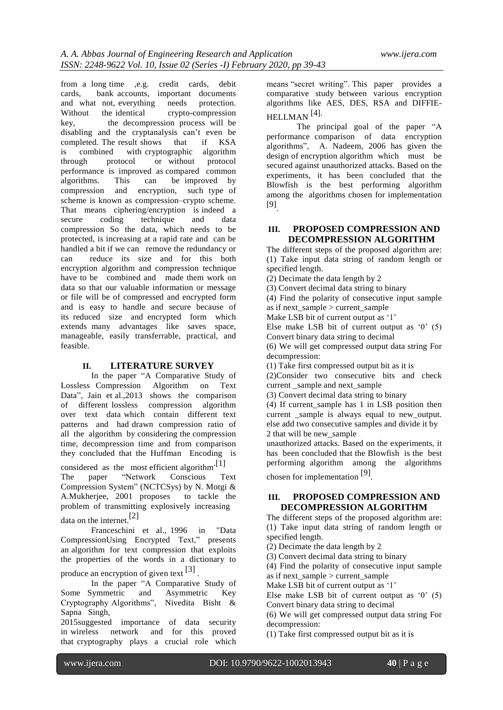from a long time ,e.g. credit cards, debit cards, bank accounts, important documents and what not, everything needs protection. Without the identical crypto-compression key, the decompression process will be disabling and the cryptanalysis can"t even be completed. The result shows that if KSA is combined with cryptographic algorithm through protocol or without protocol performance is improved as compared common<br>algorithms. This can be improved by be improved by compression and encryption, such type of scheme is known as compression–crypto scheme. That means ciphering/encryption is indeed a secure coding technique and data compression So the data, which needs to be protected, is increasing at a rapid rate and can be handled a bit if we can remove the redundancy or can reduce its size and for this both encryption algorithm and compression technique have to be combined and made them work on data so that our valuable information or message or file will be of compressed and encrypted form and is easy to handle and secure because of its reduced size and encrypted form which extends many advantages like saves space, manageable, easily transferrable, practical, and feasible.

#### **II. LITERATURE SURVEY**

In the paper "A Comparative Study of Lossless Compression Algorithm on Text Data", Jain et al., 2013 shows the comparison of different lossless compression algorithm over text data which contain different text patterns and had drawn compression ratio of all the algorithm by considering the compression time, decompression time and from comparison they concluded that the Huffman Encoding is

considered as the most efficient algorithm<sup>.[1]</sup> The paper "Network Conscious Text Compression System" (NCTCSys) by N. Motgi & A.Mukherjee, 2001 proposes to tackle the problem of transmitting explosively increasing data on the internet.[2]

Franceschini et al., 1996 in "Data CompressionUsing Encrypted Text," presents an algorithm for text compression that exploits the properties of the words in a dictionary to

produce an encryption of given text  $\left[3\right]$ .

In the paper "A Comparative Study of Some Symmetric and Asymmetric Key Cryptography Algorithms", Nivedita Bisht & Sapna Singh,

2015suggested importance of data security in wireless network and for this proved that cryptography plays a crucial role which

means "secret writing". This paper provides a comparative study between various encryption algorithms like AES, DES, RSA and DIFFIE-HELLMAN [4].

The principal goal of the paper "A performance comparison of data encryption algorithms", A. Nadeem, 2006 has given the design of encryption algorithm which must be secured against unauthorized attacks. Based on the experiments, it has been concluded that the Blowfish is the best performing algorithm among the algorithms chosen for implementation [9] .

## **III. PROPOSED COMPRESSION AND DECOMPRESSION ALGORITHM**

The different steps of the proposed algorithm are: (1) Take input data string of random length or specified length.

(2) Decimate the data length by 2

(3) Convert decimal data string to binary

(4) Find the polarity of consecutive input sample as if next  $sample > current$  sample

Make LSB bit of current output as '1'

Else make LSB bit of current output as  $0'$  (5) Convert binary data string to decimal

(6) We will get compressed output data string For decompression:

(1) Take first compressed output bit as it is

(2)Consider two consecutive bits and check current sample and next sample

(3) Convert decimal data string to binary

(4) If current\_sample has 1 in LSB position then current sample is always equal to new output. else add two consecutive samples and divide it by 2 that will be new\_sample

unauthorized attacks. Based on the experiments, it has been concluded that the Blowfish is the best performing algorithm among the algorithms chosen for implementation [9] .

### **III. PROPOSED COMPRESSION AND DECOMPRESSION ALGORITHM**

The different steps of the proposed algorithm are: (1) Take input data string of random length or specified length.

(2) Decimate the data length by 2

(3) Convert decimal data string to binary

(4) Find the polarity of consecutive input sample as if next  $sample > current$  sample

Make LSB bit of current output as '1'

Else make LSB bit of current output as  $0'$  (5) Convert binary data string to decimal

(6) We will get compressed output data string For decompression:

(1) Take first compressed output bit as it is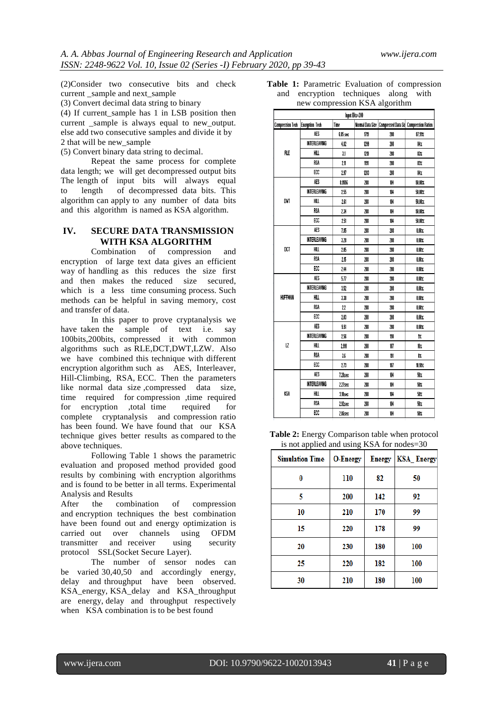(2)Consider two consecutive bits and check current sample and next sample

(3) Convert decimal data string to binary

(4) If current\_sample has 1 in LSB position then current sample is always equal to new output. else add two consecutive samples and divide it by 2 that will be new\_sample

(5) Convert binary data string to decimal.

Repeat the same process for complete data length; we will get decompressed output bits The length of input bits will always equal to length of decompressed data bits. This algorithm can apply to any number of data bits and this algorithm is named as KSA algorithm.

## **IV. SECURE DATA TRANSMISSION WITH KSA ALGORITHM**

Combination of compression and encryption of large text data gives an efficient way of handling as this reduces the size first and then makes the reduced size secured, which is a less time consuming process. Such methods can be helpful in saving memory, cost and transfer of data.

In this paper to prove cryptanalysis we have taken the sample of text i.e. say 100bits,200bits, compressed it with common algorithms such as RLE,DCT,DWT,LZW. Also we have combined this technique with different encryption algorithm such as AES, Interleaver, Hill-Climbing, RSA, ECC. Then the parameters like normal data size, compressed data size, time required for compression ,time required for encryption ,total time required for complete cryptanalysis and compression ratio has been found. We have found that our KSA technique gives better results as compared to the above techniques.

Following Table 1 shows the parametric evaluation and proposed method provided good results by combining with encryption algorithms and is found to be better in all terms. Experimental Analysis and Results

After the combination of compression and encryption techniques the best combination have been found out and energy optimization is carried out over channels using OFDM transmitter and receiver using security protocol SSL(Socket Secure Layer).

The number of sensor nodes can be varied 30,40,50 and accordingly energy, delay and throughput have been observed. KSA\_energy, KSA\_delay and KSA\_throughput are energy, delay and throughput respectively when KSA combination is to be best found

|                               |  | Table 1: Parametric Evaluation of compression |  |  |  |  |
|-------------------------------|--|-----------------------------------------------|--|--|--|--|
|                               |  | and encryption techniques along with          |  |  |  |  |
| new compression KSA algorithm |  |                                               |  |  |  |  |

| $\sim$ $\sim$ $\sim$<br>-0<br>$-1$<br>Input Bits=200 |                        |          |      |                                                           |          |  |  |  |
|------------------------------------------------------|------------------------|----------|------|-----------------------------------------------------------|----------|--|--|--|
| <b>Compression Tech</b>                              | <b>Encryption Tech</b> | Time     |      | Normal Data Size   Compressed Data Siz Compression Ration |          |  |  |  |
| RLE                                                  | AES                    | 6.85 sec | 1719 | 208                                                       | 87.91%   |  |  |  |
|                                                      | INTERLEAVING           | 4.82     | 1299 | 208                                                       | 84%      |  |  |  |
|                                                      | HILL                   | 3.1      | 1219 | 208                                                       | 83%      |  |  |  |
|                                                      | <b>RSA</b>             | 2.11     | 1191 | 208                                                       | 83%      |  |  |  |
|                                                      | ECC                    | 2.97     | 1283 | 208                                                       | 84%      |  |  |  |
| DVT                                                  | AES                    | 8.9556   | 208  | 104                                                       | 50.00%   |  |  |  |
|                                                      | INTERLEAVING           | 2.55     | 208  | 104                                                       | 50.00%   |  |  |  |
|                                                      | HILL                   | 2.61     | 208  | 104                                                       | 50.00%   |  |  |  |
|                                                      | <b>RSA</b>             | 2.34     | 208  | 104                                                       | 50.00%   |  |  |  |
|                                                      | ECC                    | 2.51     | 208  | 104                                                       | 50.00%   |  |  |  |
| DCT                                                  | AES                    | 7.85     | 208  | 208                                                       | $0.00\%$ |  |  |  |
|                                                      | INTERLEAVING           | 3.28     | 208  | 208                                                       | 0.00%    |  |  |  |
|                                                      | HILL                   | 2.05     | 208  | 208                                                       | $0.00\%$ |  |  |  |
|                                                      | <b>RSA</b>             | 2.15     | 208  | 208                                                       | 0.00%    |  |  |  |
|                                                      | ECC                    | 2.44     | 208  | 208                                                       | 0.00%    |  |  |  |
| <b>HUFFMAN</b>                                       | AES                    | 5.77     | 208  | 208                                                       | $0.00\%$ |  |  |  |
|                                                      | <b>INTERLEAVING</b>    | 3.52     | 208  | 208                                                       | 0.00%    |  |  |  |
|                                                      | HILL                   | 3.38     | 208  | 208                                                       | $0.00\%$ |  |  |  |
|                                                      | <b>RSA</b>             | 22       | 208  | 208                                                       | 0.00%    |  |  |  |
|                                                      | ECC                    | 2.03     | 208  | 208                                                       | $0.00\%$ |  |  |  |
|                                                      | AES                    | 5.51     | 208  | 208                                                       | 0.00%    |  |  |  |
| LZ                                                   | INTERLEAVING           | 2.56     | 208  | 190                                                       | 9%       |  |  |  |
|                                                      | HILL                   | 2.991    | 208  | 187                                                       | 10%      |  |  |  |
|                                                      | <b>RSA</b>             | 3.6      | 208  | 191                                                       | 8%       |  |  |  |
|                                                      | ECC                    | 2.73     | 208  | 187                                                       | 10.10%   |  |  |  |
|                                                      | AES                    | 7.28sec  | 208  | 104                                                       | 50%      |  |  |  |
| KSA                                                  | INTERLEAVING           | 2.27sec  | 208  | 104                                                       | 50%      |  |  |  |
|                                                      | HILL                   | 3.10sec  | 208  | 104                                                       | 50%      |  |  |  |
|                                                      | <b>RSA</b>             | 2.92sec  | 208  | 104                                                       | 50%      |  |  |  |
|                                                      | ECC                    | 2.86sec  | 208  | 104                                                       | 50%      |  |  |  |

**Table 2:** Energy Comparison table when protocol is not applied and using KSA for nodes=30

| .                      | $\circ$         |               |                   |
|------------------------|-----------------|---------------|-------------------|
| <b>Simulation Time</b> | <b>O-Energy</b> | <b>Energy</b> | <b>KSA_Energy</b> |
| 0                      | 110             | 82            | 50                |
| 5                      | 200             | 142           | 92                |
| 10                     | 210             | 170           | 99                |
| 15                     | 220             | 178           | 99                |
| 20                     | 230             | 180           | 100               |
| 25                     | 220             | 182           | 100               |
| 30                     | 210             | 180           | 100               |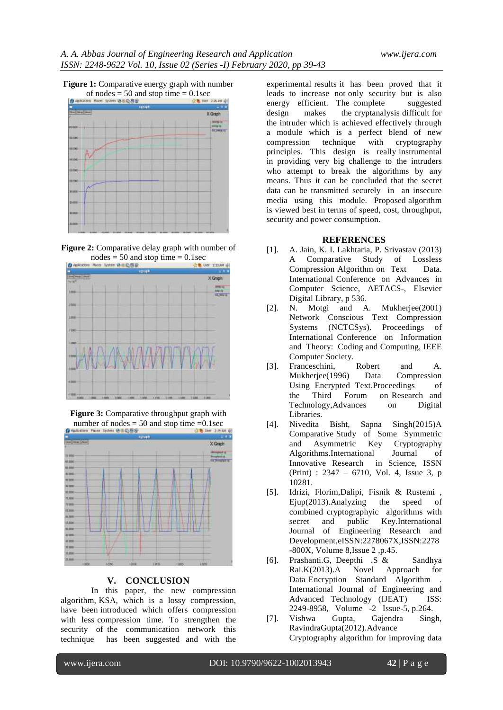











#### **V. CONCLUSION**

In this paper, the new compression algorithm, KSA, which is a lossy compression, have been introduced which offers compression with less compression time. To strengthen the security of the communication network this technique has been suggested and with the

experimental results it has been proved that it leads to increase not only security but is also energy efficient. The complete suggested design makes the cryptanalysis difficult for the intruder which is achieved effectively through a module which is a perfect blend of new compression technique with cryptography principles. This design is really instrumental in providing very big challenge to the intruders who attempt to break the algorithms by any means. Thus it can be concluded that the secret data can be transmitted securely in an insecure media using this module. Proposed algorithm is viewed best in terms of speed, cost, throughput, security and power consumption.

#### **REFERENCES**

- [1]. A. Jain, K. I. Lakhtaria, P. Srivastav (2013) A Comparative Study of Lossless Compression Algorithm on Text Data. International Conference on Advances in Computer Science, AETACS-, Elsevier Digital Library, p 536.
- [2]. N. Motgi and A. Mukherjee(2001) Network Conscious Text Compression Systems (NCTCSys). Proceedings of International Conference on Information and Theory: Coding and Computing, IEEE Computer Society.
- [3]. Franceschini, Robert and A. Mukherjee(1996) Data Compression Using Encrypted Text.Proceedings of the Third Forum on Research and Technology,Advances on Digital Libraries.
- [4]. Nivedita Bisht, Sapna Singh(2015)A Comparative Study of Some Symmetric and Asymmetric Key Cryptography Algorithms.International Journal of Innovative Research in Science, ISSN (Print) : 2347 – 6710, Vol. 4, Issue 3, p 10281.
- [5]. Idrizi, Florim,Dalipi, Fisnik & Rustemi , Ejup(2013).Analyzing the speed of combined cryptographyic algorithms with<br>secret and public Kev.International secret and public Key.International Journal of Engineering Research and Development,eISSN:2278067X,ISSN:2278 -800X, Volume 8,Issue 2 ,p.45.
- [6]. Prashanti.G, Deepthi .S & Sandhya Rai.K(2013).A Novel Approach for Data Encryption Standard Algorithm . International Journal of Engineering and Advanced Technology (IJEAT) ISS: 2249-8958, Volume -2 Issue-5, p.264.
- [7]. Vishwa Gupta, Gajendra Singh, RavindraGupta(2012).Advance Cryptography algorithm for improving data